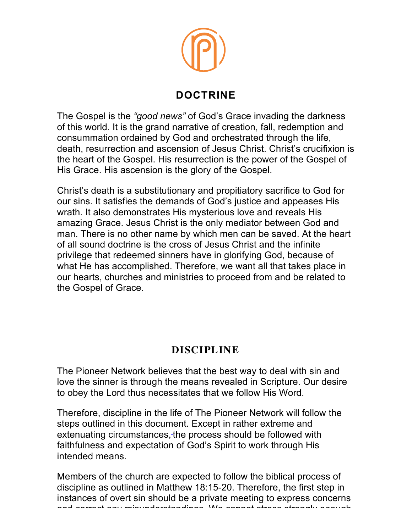

## **DOCTRINE**

The Gospel is the *"good news"* of God's Grace invading the darkness of this world. It is the grand narrative of creation, fall, redemption and consummation ordained by God and orchestrated through the life, death, resurrection and ascension of Jesus Christ. Christ's crucifixion is the heart of the Gospel. His resurrection is the power of the Gospel of His Grace. His ascension is the glory of the Gospel.

Christ's death is a substitutionary and propitiatory sacrifice to God for our sins. It satisfies the demands of God's justice and appeases His wrath. It also demonstrates His mysterious love and reveals His amazing Grace. Jesus Christ is the only mediator between God and man. There is no other name by which men can be saved. At the heart of all sound doctrine is the cross of Jesus Christ and the infinite privilege that redeemed sinners have in glorifying God, because of what He has accomplished. Therefore, we want all that takes place in our hearts, churches and ministries to proceed from and be related to the Gospel of Grace.

## **DISCIPLINE**

The Pioneer Network believes that the best way to deal with sin and love the sinner is through the means revealed in Scripture. Our desire to obey the Lord thus necessitates that we follow His Word.

Therefore, discipline in the life of The Pioneer Network will follow the steps outlined in this document. Except in rather extreme and extenuating circumstances, the process should be followed with faithfulness and expectation of God's Spirit to work through His intended means.

Members of the church are expected to follow the biblical process of discipline as outlined in Matthew 18:15-20. Therefore, the first step in instances of overt sin should be a private meeting to express concerns and correct any misunderstandings. We cannot stress strongly enough